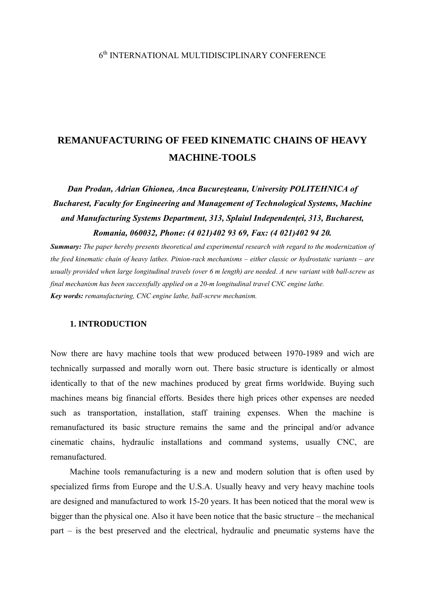# 6th INTERNATIONAL MULTIDISCIPLINARY CONFERENCE

# **REMANUFACTURING OF FEED KINEMATIC CHAINS OF HEAVY MACHINE-TOOLS**

*Dan Prodan, Adrian Ghionea, Anca Bucureşteanu, University POLITEHNICA of Bucharest, Faculty for Engineering and Management of Technological Systems, Machine and Manufacturing Systems Department, 313, Splaiul Independenţei, 313, Bucharest, Romania, 060032, Phone: (4 021)402 93 69, Fax: (4 021)402 94 20.* 

*Summary: The paper hereby presents theoretical and experimental research with regard to the modernization of the feed kinematic chain of heavy lathes. Pinion-rack mechanisms – either classic or hydrostatic variants – are usually provided when large longitudinal travels (over 6 m length) are needed. A new variant with ball-screw as final mechanism has been successfully applied on a 20-m longitudinal travel CNC engine lathe. Key words: remanufacturing, CNC engine lathe, ball-screw mechanism.* 

## **1. INTRODUCTION**

Now there are havy machine tools that wew produced between 1970-1989 and wich are technically surpassed and morally worn out. There basic structure is identically or almost identically to that of the new machines produced by great firms worldwide. Buying such machines means big financial efforts. Besides there high prices other expenses are needed such as transportation, installation, staff training expenses. When the machine is remanufactured its basic structure remains the same and the principal and/or advance cinematic chains, hydraulic installations and command systems, usually CNC, are remanufactured.

Machine tools remanufacturing is a new and modern solution that is often used by specialized firms from Europe and the U.S.A. Usually heavy and very heavy machine tools are designed and manufactured to work 15-20 years. It has been noticed that the moral wew is bigger than the physical one. Also it have been notice that the basic structure – the mechanical part – is the best preserved and the electrical, hydraulic and pneumatic systems have the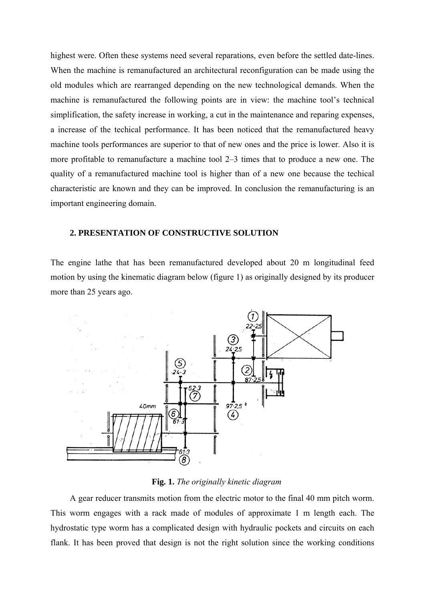highest were. Often these systems need several reparations, even before the settled date-lines. When the machine is remanufactured an architectural reconfiguration can be made using the old modules which are rearranged depending on the new technological demands. When the machine is remanufactured the following points are in view: the machine tool's technical simplification, the safety increase in working, a cut in the maintenance and reparing expenses, a increase of the techical performance. It has been noticed that the remanufactured heavy machine tools performances are superior to that of new ones and the price is lower. Also it is more profitable to remanufacture a machine tool 2–3 times that to produce a new one. The quality of a remanufactured machine tool is higher than of a new one because the techical characteristic are known and they can be improved. In conclusion the remanufacturing is an important engineering domain.

## **2. PRESENTATION OF CONSTRUCTIVE SOLUTION**

The engine lathe that has been remanufactured developed about 20 m longitudinal feed motion by using the kinematic diagram below (figure 1) as originally designed by its producer more than 25 years ago.



#### **Fig. 1.** *The originally kinetic diagram*

A gear reducer transmits motion from the electric motor to the final 40 mm pitch worm. This worm engages with a rack made of modules of approximate 1 m length each. The hydrostatic type worm has a complicated design with hydraulic pockets and circuits on each flank. It has been proved that design is not the right solution since the working conditions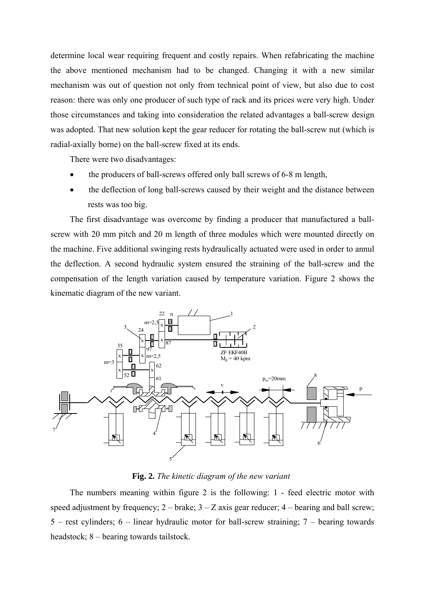determine local wear requiring frequent and costly repairs. When refabricating the machine the above mentioned mechanism had to be changed. Changing it with a new similar mechanism was out of question not only from technical point of view, but also due to cost reason: there was only one producer of such type of rack and its prices were very high. Under those circumstances and taking into consideration the related advantages a ball-screw design was adopted. That new solution kept the gear reducer for rotating the ball-screw nut (which is radial-axially borne) on the ball-screw fixed at its ends.

There were two disadvantages:

- the producers of ball-screws offered only ball screws of 6-8 m length,
- the deflection of long ball-screws caused by their weight and the distance between rests was too big.

The first disadvantage was overcome by finding a producer that manufactured a ballscrew with 20 mm pitch and 20 m length of three modules which were mounted directly on the machine. Five additional swinging rests hydraulically actuated were used in order to annul the deflection. A second hydraulic system ensured the straining of the ball-screw and the compensation of the length variation caused by temperature variation. Figure 2 shows the kinematic diagram of the new variant.



**Fig. 2.** *The kinetic diagram of the new variant* 

The numbers meaning within figure 2 is the following: 1 - feed electric motor with speed adjustment by frequency;  $2 -$  brake;  $3 - Z$  axis gear reducer;  $4 -$  bearing and ball screw; 5 – rest cylinders; 6 – linear hydraulic motor for ball-screw straining; 7 – bearing towards headstock; 8 – bearing towards tailstock.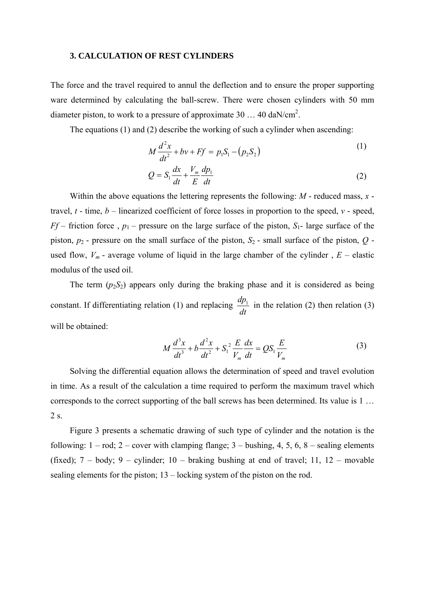#### **3. CALCULATION OF REST CYLINDERS**

The force and the travel required to annul the deflection and to ensure the proper supporting ware determined by calculating the ball-screw. There were chosen cylinders with 50 mm diameter piston, to work to a pressure of approximate  $30...40$  daN/cm<sup>2</sup>.

The equations (1) and (2) describe the working of such a cylinder when ascending:

$$
M\frac{d^2x}{dt^2} + bv + Ff = p_1S_1 - (p_2S_2)
$$
 (1)

$$
Q = S_1 \frac{dx}{dt} + \frac{V_m}{E} \frac{dp_1}{dt}
$$
 (2)

Within the above equations the lettering represents the following: *M* - reduced mass, *x* travel, *t* - time, *b* – linearized coefficient of force losses in proportion to the speed, *v* - speed, *Ff* – friction force,  $p_1$  – pressure on the large surface of the piston,  $S_1$ - large surface of the piston, *p*2 - pressure on the small surface of the piston, *S*2 - small surface of the piston, *Q*  used flow,  $V_m$  - average volume of liquid in the large chamber of the cylinder,  $E$  – elastic modulus of the used oil.

The term  $(p_2S_2)$  appears only during the braking phase and it is considered as being constant. If differentiating relation (1) and replacing  $\frac{dp_1}{dt}$  in the relation (2) then relation (3) will be obtained:

$$
M\frac{d^3x}{dt^3} + b\frac{d^2x}{dt^2} + S_1^2\frac{E}{V_m}\frac{dx}{dt} = QS_1\frac{E}{V_m}
$$
 (3)

Solving the differential equation allows the determination of speed and travel evolution in time. As a result of the calculation a time required to perform the maximum travel which corresponds to the correct supporting of the ball screws has been determined. Its value is 1 … 2 s.

Figure 3 presents a schematic drawing of such type of cylinder and the notation is the following:  $1 - \text{rod}$ ;  $2 - \text{cover}$  with clamping flange;  $3 - \text{bushing}$ ,  $4$ ,  $5$ ,  $6$ ,  $8 - \text{sealing}$  elements (fixed);  $7 - body$ ;  $9 - cylinder$ ;  $10 - braking$  bushing at end of travel;  $11$ ,  $12 - movable$ sealing elements for the piston; 13 – locking system of the piston on the rod.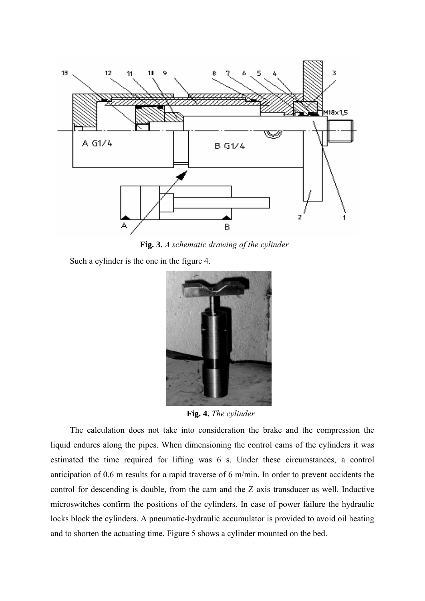

**Fig. 3.** *A schematic drawing of the cylinder* 

Such a cylinder is the one in the figure 4.



**Fig. 4.** *The cylinder* 

The calculation does not take into consideration the brake and the compression the liquid endures along the pipes. When dimensioning the control cams of the cylinders it was estimated the time required for lifting was 6 s. Under these circumstances, a control anticipation of 0.6 m results for a rapid traverse of 6 m/min. In order to prevent accidents the control for descending is double, from the cam and the Z axis transducer as well. Inductive microswitches confirm the positions of the cylinders. In case of power failure the hydraulic locks block the cylinders. A pneumatic-hydraulic accumulator is provided to avoid oil heating and to shorten the actuating time. Figure 5 shows a cylinder mounted on the bed.